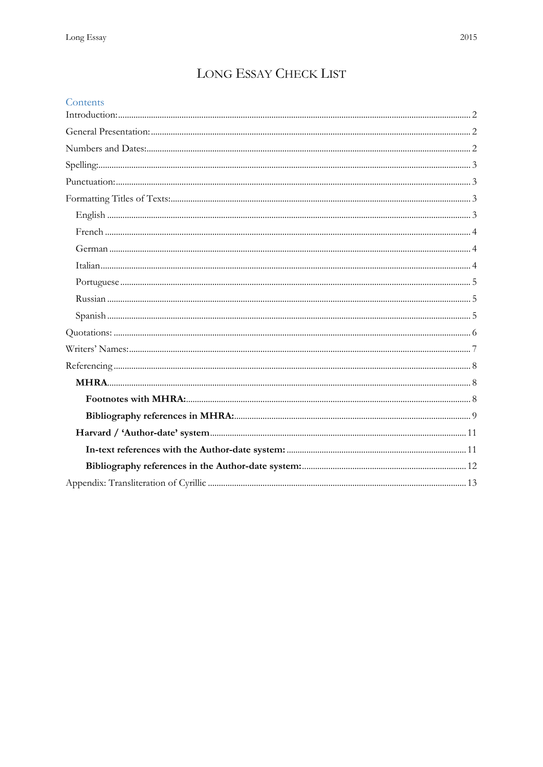# LONG ESSAY CHECK LIST

| Contents |  |
|----------|--|
|          |  |
|          |  |
|          |  |
|          |  |
|          |  |
|          |  |
|          |  |
|          |  |
|          |  |
|          |  |
|          |  |
|          |  |
|          |  |
|          |  |
|          |  |
|          |  |
|          |  |
|          |  |
|          |  |
|          |  |
|          |  |
|          |  |
|          |  |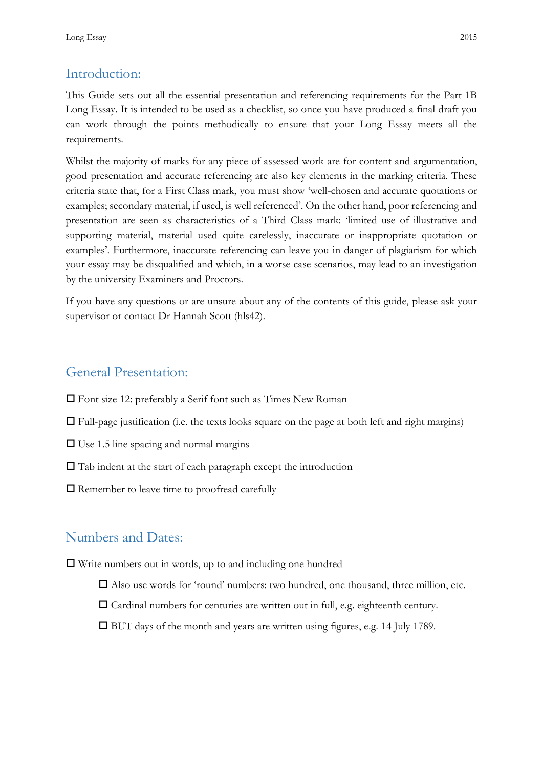## <span id="page-1-0"></span>Introduction:

This Guide sets out all the essential presentation and referencing requirements for the Part 1B Long Essay. It is intended to be used as a checklist, so once you have produced a final draft you can work through the points methodically to ensure that your Long Essay meets all the requirements.

Whilst the majority of marks for any piece of assessed work are for content and argumentation, good presentation and accurate referencing are also key elements in the marking criteria. These criteria state that, for a First Class mark, you must show 'well-chosen and accurate quotations or examples; secondary material, if used, is well referenced'. On the other hand, poor referencing and presentation are seen as characteristics of a Third Class mark: 'limited use of illustrative and supporting material, material used quite carelessly, inaccurate or inappropriate quotation or examples'. Furthermore, inaccurate referencing can leave you in danger of plagiarism for which your essay may be disqualified and which, in a worse case scenarios, may lead to an investigation by the university Examiners and Proctors.

If you have any questions or are unsure about any of the contents of this guide, please ask your supervisor or contact Dr Hannah Scott (hls42).

## <span id="page-1-1"></span>General Presentation:

- Font size 12: preferably a Serif font such as Times New Roman
- $\Box$  Full-page justification (i.e. the texts looks square on the page at both left and right margins)
- $\square$  Use 1.5 line spacing and normal margins
- $\Box$  Tab indent at the start of each paragraph except the introduction
- $\square$  Remember to leave time to proofread carefully

## <span id="page-1-2"></span>Numbers and Dates:

Write numbers out in words, up to and including one hundred

- Also use words for 'round' numbers: two hundred, one thousand, three million, etc.
- $\Box$  Cardinal numbers for centuries are written out in full, e.g. eighteenth century.
- BUT days of the month and years are written using figures, e.g. 14 July 1789.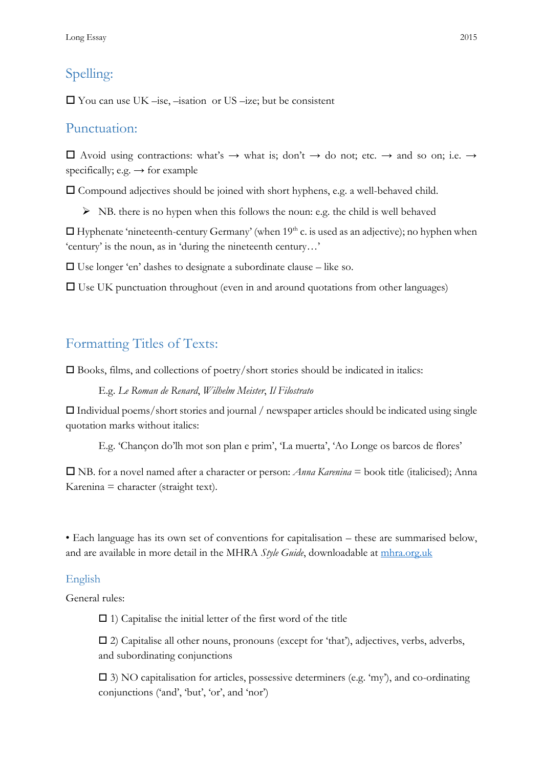## <span id="page-2-0"></span>Spelling:

 $\Box$  You can use UK –ise, –isation or US –ize; but be consistent

## <span id="page-2-1"></span>Punctuation:

 $\Box$  Avoid using contractions: what's → what is; don't → do not; etc. → and so on; i.e. → specifically; e.g.  $\rightarrow$  for example

Compound adjectives should be joined with short hyphens, e.g. a well-behaved child.

 $\triangleright$  NB. there is no hypen when this follows the noun: e.g. the child is well behaved

 $\Box$  Hyphenate 'nineteenth-century Germany' (when 19<sup>th</sup> c. is used as an adjective); no hyphen when 'century' is the noun, as in 'during the nineteenth century…'

 $\Box$  Use longer 'en' dashes to designate a subordinate clause – like so.

 $\Box$  Use UK punctuation throughout (even in and around quotations from other languages)

## <span id="page-2-2"></span>Formatting Titles of Texts:

 $\square$  Books, films, and collections of poetry/short stories should be indicated in italics:

E.g. *Le Roman de Renard*, *Wilhelm Meister*, *Il Filostrato*

 $\Box$  Individual poems/short stories and journal / newspaper articles should be indicated using single quotation marks without italics:

E.g. 'Chançon do'lh mot son plan e prim', 'La muerta', 'Ao Longe os barcos de flores'

 NB. for a novel named after a character or person: *Anna Karenina* = book title (italicised); Anna  $K$ arenina = character (straight text).

• Each language has its own set of conventions for capitalisation – these are summarised below, and are available in more detail in the MHRA *Style Guide*, downloadable at [mhra.org.uk](http://www.mhra.org.uk/)

### <span id="page-2-3"></span>English

General rules:

 $\Box$  1) Capitalise the initial letter of the first word of the title

 2) Capitalise all other nouns, pronouns (except for 'that'), adjectives, verbs, adverbs, and subordinating conjunctions

 $\Box$  3) NO capitalisation for articles, possessive determiners (e.g. 'my'), and co-ordinating conjunctions ('and', 'but', 'or', and 'nor')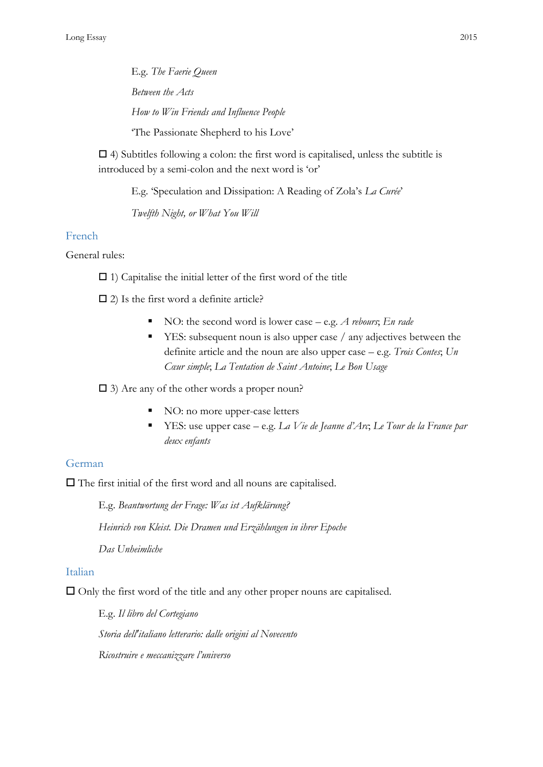E.g. *The Faerie Queen Between the Acts How to Win Friends and Influence People* 'The Passionate Shepherd to his Love'

 $\Box$  4) Subtitles following a colon: the first word is capitalised, unless the subtitle is introduced by a semi-colon and the next word is 'or'

E.g. 'Speculation and Dissipation: A Reading of Zola's *La Curée*'

*Twelfth Night, or What You Will*

### <span id="page-3-0"></span>French

General rules:

 $\Box$  1) Capitalise the initial letter of the first word of the title

 $\Box$  2) Is the first word a definite article?

- NO: the second word is lower case e.g. *A rebours*; *En rade*
- YES: subsequent noun is also upper case / any adjectives between the definite article and the noun are also upper case – e.g. *Trois Contes*; *Un Cœur simple*; *La Tentation de Saint Antoine*; *Le Bon Usage*

3) Are any of the other words a proper noun?

- NO: no more upper-case letters
- YES: use upper case e.g. *La Vie de Jeanne d'Arc*; *Le Tour de la France par deux enfants*

### <span id="page-3-1"></span>German

 $\Box$  The first initial of the first word and all nouns are capitalised.

E.g. *Beantwortung der Frage: Was ist Aufklärung? Heinrich von Kleist. Die Dramen und Erzählungen in ihrer Epoche Das Unheimliche*

#### <span id="page-3-2"></span>Italian

 $\Box$  Only the first word of the title and any other proper nouns are capitalised.

E.g. *Il libro del Cortegiano Storia dell'italiano letterario: dalle origini al Novecento Ricostruire e meccanizzare l'universo*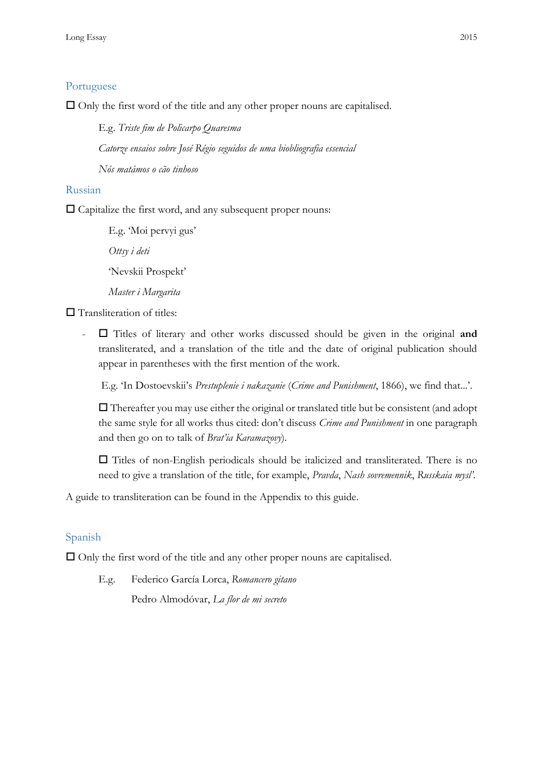### <span id="page-4-0"></span>Portuguese

 $\Box$  Only the first word of the title and any other proper nouns are capitalised.

E.g. *Triste fim de Policarpo Quaresma Catorze ensaios sobre José Régio seguidos de uma biobliografia essencial Nós matámos o cão tinhoso*

#### <span id="page-4-1"></span>Russian

 $\square$  Capitalize the first word, and any subsequent proper nouns:

E.g. 'Moi pervyi gus'

*Ottsy i deti*

'Nevskii Prospekt'

*Master i Margarita*

 $\square$  Transliteration of titles:

- Titles of literary and other works discussed should be given in the original **and**  transliterated, and a translation of the title and the date of original publication should appear in parentheses with the first mention of the work.

E.g. 'In Dostoevskii's *Prestuplenie i nakazanie* (*Crime and Punishment*, 1866), we find that...'.

 $\Box$  Thereafter you may use either the original or translated title but be consistent (and adopt the same style for all works thus cited: don't discuss *Crime and Punishment* in one paragraph and then go on to talk of *Brat'ia Karamazovy*).

 $\Box$  Titles of non-English periodicals should be italicized and transliterated. There is no need to give a translation of the title, for example, *Pravda*, *Nash sovremennik*, *Russkaia mysl'*.

A guide to transliteration can be found in the Appendix to this guide.

#### <span id="page-4-2"></span>Spanish

 $\Box$  Only the first word of the title and any other proper nouns are capitalised.

E.g. Federico García Lorca, *Romancero gitano* Pedro Almodóvar, *La flor de mi secreto*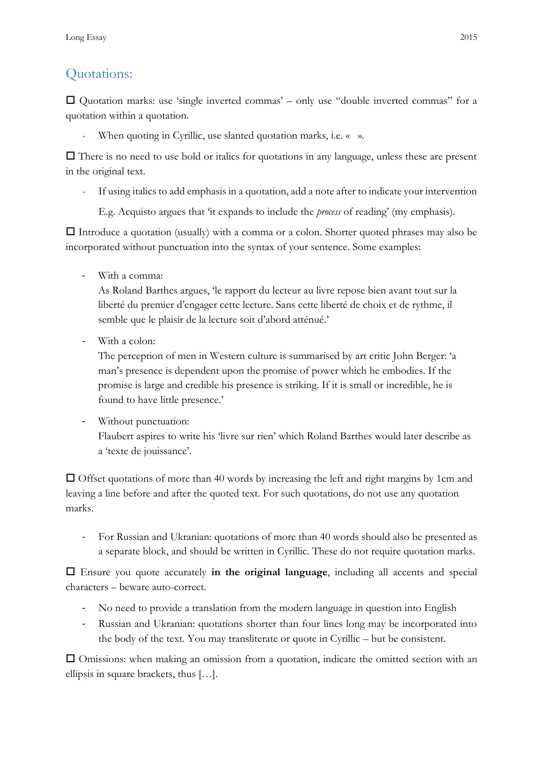# <span id="page-5-0"></span>Quotations:

 $\square$  Quotation marks: use 'single inverted commas' – only use "double inverted commas" for a quotation within a quotation.

When quoting in Cyrillic, use slanted quotation marks, i.e. « ».

 $\Box$  There is no need to use bold or italics for quotations in any language, unless these are present in the original text.

If using italics to add emphasis in a quotation, add a note after to indicate your intervention

E.g. Acquisto argues that 'it expands to include the *process* of reading' (my emphasis).

 $\Box$  Introduce a quotation (usually) with a comma or a colon. Shorter quoted phrases may also be incorporated without punctuation into the syntax of your sentence. Some examples:

- With a comma:

As Roland Barthes argues, 'le rapport du lecteur au livre repose bien avant tout sur la liberté du premier d'engager cette lecture. Sans cette liberté de choix et de rythme, il semble que le plaisir de la lecture soit d'abord atténué.'

- With a colon:

The perception of men in Western culture is summarised by art critic John Berger: 'a man's presence is dependent upon the promise of power which he embodies. If the promise is large and credible his presence is striking. If it is small or incredible, he is found to have little presence.'

- Without punctuation:

Flaubert aspires to write his 'livre sur rien' which Roland Barthes would later describe as a 'texte de jouissance'.

 $\Box$  Offset quotations of more than 40 words by increasing the left and right margins by 1cm and leaving a line before and after the quoted text. For such quotations, do not use any quotation marks.

- For Russian and Ukranian: quotations of more than 40 words should also be presented as a separate block, and should be written in Cyrillic. These do not require quotation marks.

 Ensure you quote accurately **in the original language**, including all accents and special characters – beware auto-correct.

- No need to provide a translation from the modern language in question into English
- Russian and Ukranian: quotations shorter than four lines long may be incorporated into the body of the text. You may transliterate or quote in Cyrillic – but be consistent.

 Omissions: when making an omission from a quotation, indicate the omitted section with an ellipsis in square brackets, thus […].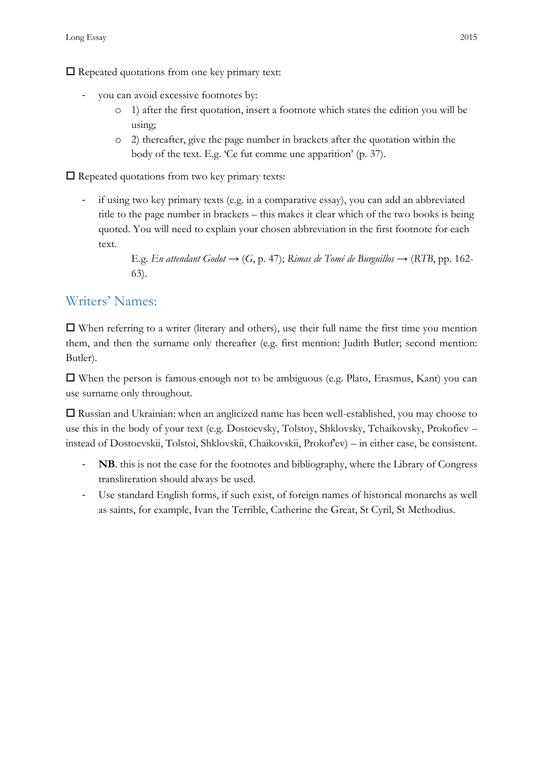$\Box$  Repeated quotations from one key primary text:

- you can avoid excessive footnotes by:
	- o 1) after the first quotation, insert a footnote which states the edition you will be using;
	- o 2) thereafter, give the page number in brackets after the quotation within the body of the text. E.g. 'Ce fut comme une apparition' (p. 37).

 $\Box$  Repeated quotations from two key primary texts:

- if using two key primary texts (e.g. in a comparative essay), you can add an abbreviated title to the page number in brackets – this makes it clear which of the two books is being quoted. You will need to explain your chosen abbreviation in the first footnote for each text.

> E.g. *En attendant Godot* → (*G*, p. 47); *Rimas de Tomé de Burguillos* → (*RTB*, pp. 162- 63).

## <span id="page-6-0"></span>Writers' Names:

 $\Box$  When referring to a writer (literary and others), use their full name the first time you mention them, and then the surname only thereafter (e.g. first mention: Judith Butler; second mention: Butler).

 When the person is famous enough not to be ambiguous (e.g. Plato, Erasmus, Kant) you can use surname only throughout.

 Russian and Ukrainian: when an anglicized name has been well-established, you may choose to use this in the body of your text (e.g. Dostoevsky, Tolstoy, Shklovsky, Tchaikovsky, Prokofiev – instead of Dostoevskii, Tolstoi, Shklovskii, Chaikovskii, Prokof'ev) – in either case, be consistent.

- **NB**. this is not the case for the footnotes and bibliography, where the Library of Congress transliteration should always be used.
- Use standard English forms, if such exist, of foreign names of historical monarchs as well as saints, for example, Ivan the Terrible, Catherine the Great, St Cyril, St Methodius.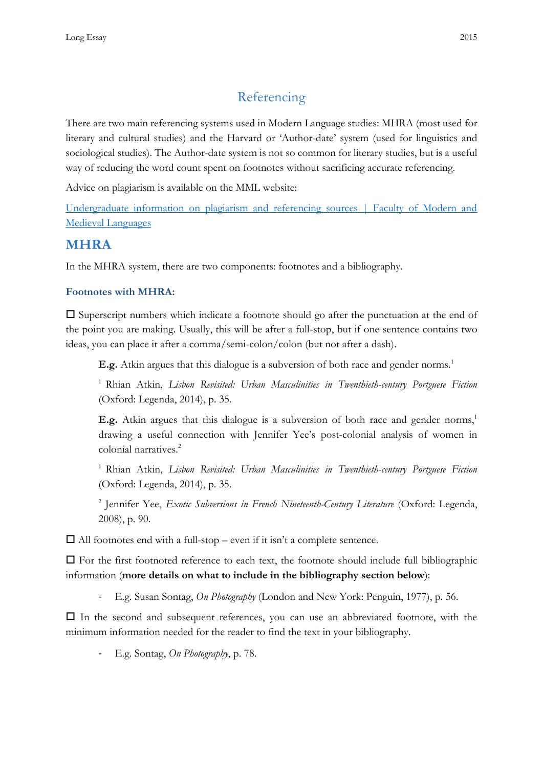# Referencing

<span id="page-7-0"></span>There are two main referencing systems used in Modern Language studies: MHRA (most used for literary and cultural studies) and the Harvard or 'Author-date' system (used for linguistics and sociological studies). The Author-date system is not so common for literary studies, but is a useful way of reducing the word count spent on footnotes without sacrificing accurate referencing.

Advice on plagiarism is available on the MML website:

[Undergraduate information on plagiarism and referencing sources | Faculty of Modern and](http://www.mml.cam.ac.uk/plagiarism-guidance)  [Medieval Languages](http://www.mml.cam.ac.uk/plagiarism-guidance)

## <span id="page-7-1"></span>**MHRA**

In the MHRA system, there are two components: footnotes and a bibliography.

### <span id="page-7-2"></span>**Footnotes with MHRA:**

 $\square$  Superscript numbers which indicate a footnote should go after the punctuation at the end of the point you are making. Usually, this will be after a full-stop, but if one sentence contains two ideas, you can place it after a comma/semi-colon/colon (but not after a dash).

**E.g.** Atkin argues that this dialogue is a subversion of both race and gender norms.<sup>1</sup>

<sup>1</sup> Rhian Atkin, *Lisbon Revisited: Urban Masculinities in Twenthieth-century Portguese Fiction* (Oxford: Legenda, 2014), p. 35.

**E.g.** Atkin argues that this dialogue is a subversion of both race and gender norms,<sup>1</sup> drawing a useful connection with Jennifer Yee's post-colonial analysis of women in colonial narratives.<sup>2</sup>

<sup>1</sup>Rhian Atkin, *Lisbon Revisited: Urban Masculinities in Twenthieth-century Portguese Fiction* (Oxford: Legenda, 2014), p. 35.

<sup>2</sup> Jennifer Yee, *Exotic Subversions in French Nineteenth-Century Literature* (Oxford: Legenda, 2008), p. 90.

 $\Box$  All footnotes end with a full-stop – even if it isn't a complete sentence.

 $\Box$  For the first footnoted reference to each text, the footnote should include full bibliographic information (**more details on what to include in the bibliography section below**):

- E.g. Susan Sontag, *On Photography* (London and New York: Penguin, 1977), p. 56.

 $\Box$  In the second and subsequent references, you can use an abbreviated footnote, with the minimum information needed for the reader to find the text in your bibliography.

- E.g. Sontag, *On Photography*, p. 78.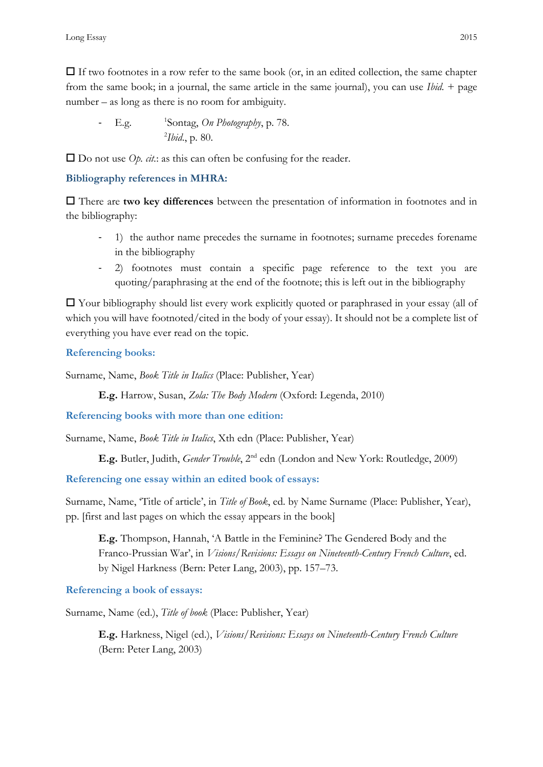$\Box$  If two footnotes in a row refer to the same book (or, in an edited collection, the same chapter from the same book; in a journal, the same article in the same journal), you can use *Ibid.* + page number – as long as there is no room for ambiguity.

 $\sim$  E.g. Sontag, *On Photography*, p. 78. 2 *Ibid*., p. 80.

□ Do not use *Op. cit*.: as this can often be confusing for the reader.

### <span id="page-8-0"></span>**Bibliography references in MHRA:**

 There are **two key differences** between the presentation of information in footnotes and in the bibliography:

- 1) the author name precedes the surname in footnotes; surname precedes forename in the bibliography
- 2) footnotes must contain a specific page reference to the text you are quoting/paraphrasing at the end of the footnote; this is left out in the bibliography

 $\Box$  Your bibliography should list every work explicitly quoted or paraphrased in your essay (all of which you will have footnoted/cited in the body of your essay). It should not be a complete list of everything you have ever read on the topic.

### **Referencing books:**

Surname, Name, *Book Title in Italics* (Place: Publisher, Year)

**E.g.** Harrow, Susan, *Zola: The Body Modern* (Oxford: Legenda, 2010)

**Referencing books with more than one edition:**

Surname, Name, *Book Title in Italics*, Xth edn (Place: Publisher, Year)

**E.g.** Butler, Judith, *Gender Trouble*, 2nd edn (London and New York: Routledge, 2009)

**Referencing one essay within an edited book of essays:**

Surname, Name, 'Title of article', in *Title of Book*, ed. by Name Surname (Place: Publisher, Year), pp. [first and last pages on which the essay appears in the book]

**E.g.** Thompson, Hannah, 'A Battle in the Feminine? The Gendered Body and the Franco-Prussian War', in *Visions/Revisions: Essays on Nineteenth-Century French Culture*, ed. by Nigel Harkness (Bern: Peter Lang, 2003), pp. 157–73.

### **Referencing a book of essays:**

Surname, Name (ed.), *Title of book* (Place: Publisher, Year)

**E.g.** Harkness, Nigel (ed.), *Visions/Revisions: Essays on Nineteenth-Century French Culture* (Bern: Peter Lang, 2003)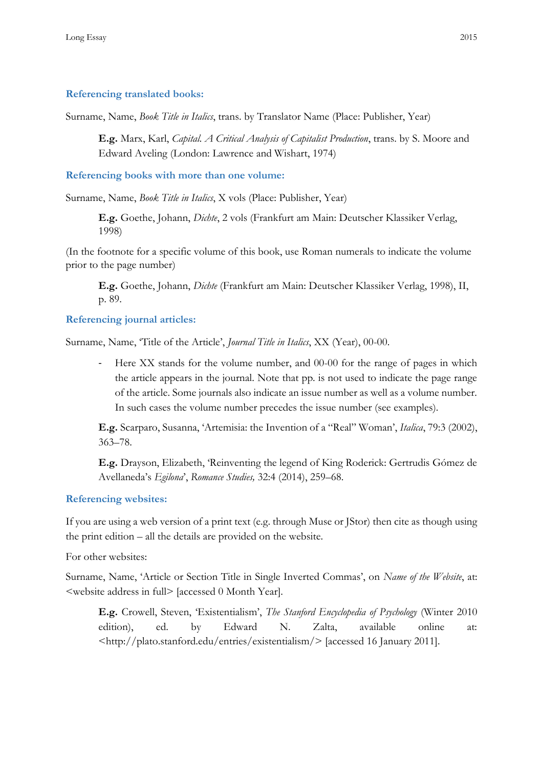#### **Referencing translated books:**

Surname, Name, *Book Title in Italics*, trans. by Translator Name (Place: Publisher, Year)

**E.g.** Marx, Karl, *Capital. A Critical Analysis of Capitalist Production*, trans. by S. Moore and Edward Aveling (London: Lawrence and Wishart, 1974)

**Referencing books with more than one volume:**

Surname, Name, *Book Title in Italics*, X vols (Place: Publisher, Year)

**E.g.** Goethe, Johann, *Dichte*, 2 vols (Frankfurt am Main: Deutscher Klassiker Verlag, 1998)

(In the footnote for a specific volume of this book, use Roman numerals to indicate the volume prior to the page number)

**E.g.** Goethe, Johann, *Dichte* (Frankfurt am Main: Deutscher Klassiker Verlag, 1998), II, p. 89.

#### **Referencing journal articles:**

Surname, Name, 'Title of the Article', *Journal Title in Italics*, XX (Year), 00-00.

- Here XX stands for the volume number, and 00-00 for the range of pages in which the article appears in the journal. Note that pp. is not used to indicate the page range of the article. Some journals also indicate an issue number as well as a volume number. In such cases the volume number precedes the issue number (see examples).

**E.g.** Scarparo, Susanna, 'Artemisia: the Invention of a "Real" Woman', *Italica*, 79:3 (2002), 363–78.

**E.g.** Drayson, Elizabeth, 'Reinventing the legend of King Roderick: Gertrudis Gómez de Avellaneda's *Egilona*', *Romance Studies,* 32:4 (2014), 259–68.

#### **Referencing websites:**

If you are using a web version of a print text (e.g. through Muse or JStor) then cite as though using the print edition – all the details are provided on the website.

For other websites:

Surname, Name, 'Article or Section Title in Single Inverted Commas', on *Name of the Website*, at: <website address in full> [accessed 0 Month Year].

**E.g.** Crowell, Steven, 'Existentialism', *The Stanford Encyclopedia of Psychology* (Winter 2010 edition), ed. by Edward N. Zalta, available online at: <http://plato.stanford.edu/entries/existentialism/> [accessed 16 January 2011].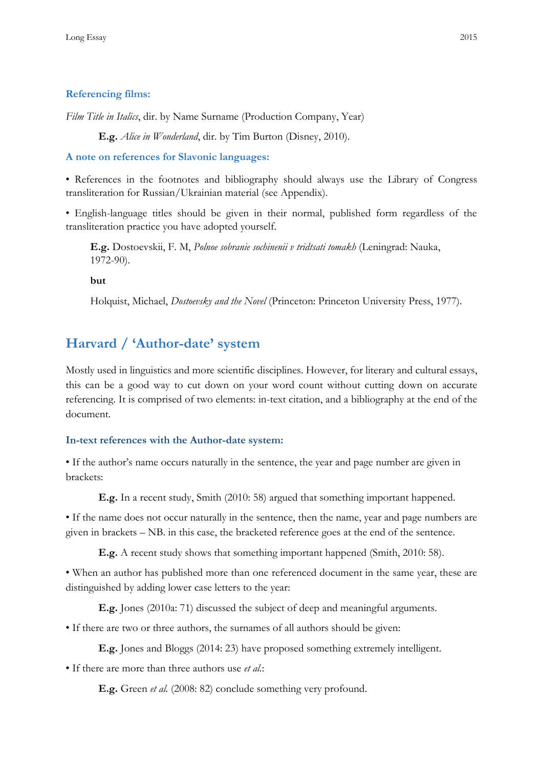### **Referencing films:**

*Film Title in Italics*, dir. by Name Surname (Production Company, Year)

**E.g.** *Alice in Wonderland*, dir. by Tim Burton (Disney, 2010).

**A note on references for Slavonic languages:**

• References in the footnotes and bibliography should always use the Library of Congress transliteration for Russian/Ukrainian material (see Appendix).

• English-language titles should be given in their normal, published form regardless of the transliteration practice you have adopted yourself.

**E.g.** Dostoevskii, F. M, *Polnoe sobranie sochinenii v tridtsati tomakh* (Leningrad: Nauka, 1972-90).

**but**

Holquist, Michael, *Dostoevsky and the Novel* (Princeton: Princeton University Press, 1977).

## <span id="page-10-0"></span>**Harvard / 'Author-date' system**

Mostly used in linguistics and more scientific disciplines. However, for literary and cultural essays, this can be a good way to cut down on your word count without cutting down on accurate referencing. It is comprised of two elements: in-text citation, and a bibliography at the end of the document.

#### <span id="page-10-1"></span>**In-text references with the Author-date system:**

• If the author's name occurs naturally in the sentence, the year and page number are given in brackets:

**E.g.** In a recent study, Smith (2010: 58) argued that something important happened.

• If the name does not occur naturally in the sentence, then the name, year and page numbers are given in brackets – NB. in this case, the bracketed reference goes at the end of the sentence.

**E.g.** A recent study shows that something important happened (Smith, 2010: 58).

• When an author has published more than one referenced document in the same year, these are distinguished by adding lower case letters to the year:

**E.g.** Jones (2010a: 71) discussed the subject of deep and meaningful arguments.

• If there are two or three authors, the surnames of all authors should be given:

**E.g.** Jones and Bloggs (2014: 23) have proposed something extremely intelligent.

• If there are more than three authors use *et al.*:

**E.g.** Green *et al.* (2008: 82) conclude something very profound.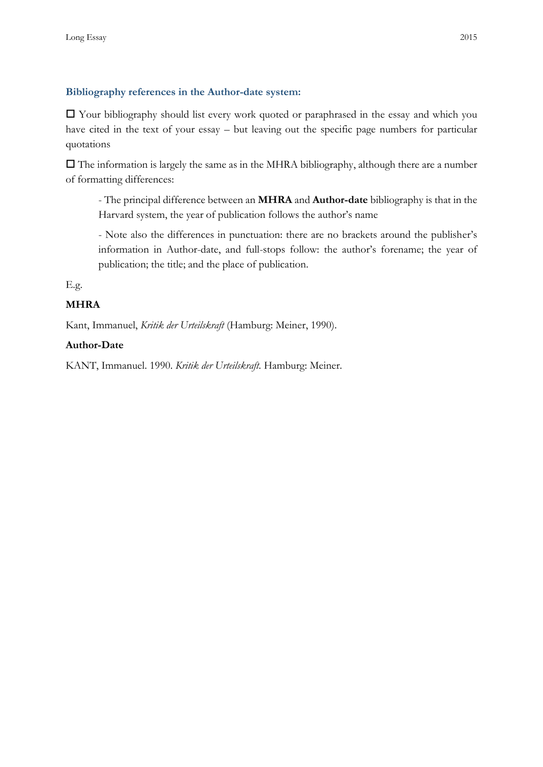### <span id="page-11-0"></span>**Bibliography references in the Author-date system:**

 $\Box$  Your bibliography should list every work quoted or paraphrased in the essay and which you have cited in the text of your essay – but leaving out the specific page numbers for particular quotations

 $\Box$  The information is largely the same as in the MHRA bibliography, although there are a number of formatting differences:

- The principal difference between an **MHRA** and **Author-date** bibliography is that in the Harvard system, the year of publication follows the author's name

- Note also the differences in punctuation: there are no brackets around the publisher's information in Author-date, and full-stops follow: the author's forename; the year of publication; the title; and the place of publication.

E.g.

### **MHRA**

Kant, Immanuel, *Kritik der Urteilskraft* (Hamburg: Meiner, 1990).

### **Author-Date**

KANT, Immanuel. 1990. *Kritik der Urteilskraft.* Hamburg: Meiner.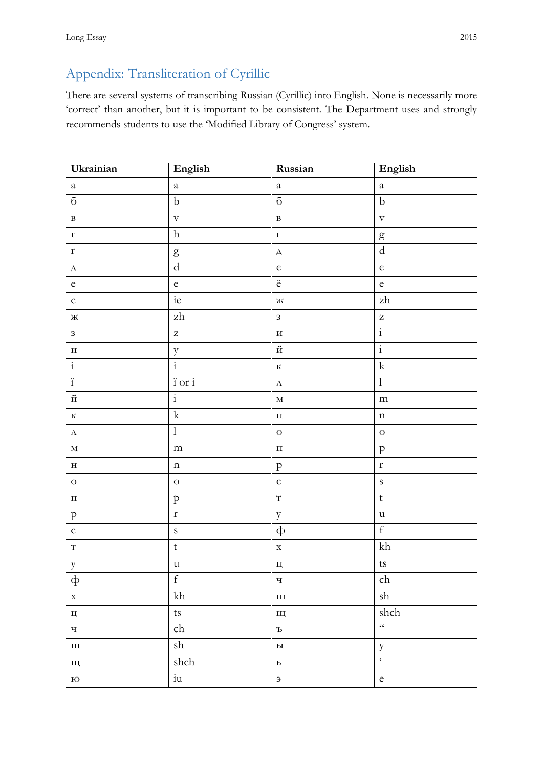# <span id="page-12-0"></span>Appendix: Transliteration of Cyrillic

There are several systems of transcribing Russian (Cyrillic) into English. None is necessarily more 'correct' than another, but it is important to be consistent. The Department uses and strongly recommends students to use the 'Modified Library of Congress' system.

| Ukrainian                         | English                                                            | Russian                           | English                                                                                                                                                                                                                                                                                                                                                                                                                        |
|-----------------------------------|--------------------------------------------------------------------|-----------------------------------|--------------------------------------------------------------------------------------------------------------------------------------------------------------------------------------------------------------------------------------------------------------------------------------------------------------------------------------------------------------------------------------------------------------------------------|
| $\it a$                           | $\it a$                                                            | $\it a$                           | $\rm{a}$                                                                                                                                                                                                                                                                                                                                                                                                                       |
| $\rm 6$                           | $\rm b$                                                            | $\overline{6}$                    | $\rm b$                                                                                                                                                                                                                                                                                                                                                                                                                        |
| $\, {\bf B}$                      | $\boldsymbol{\mathrm{V}}$                                          | $\, {\bf B}$                      | $\boldsymbol{\mathrm{v}}$                                                                                                                                                                                                                                                                                                                                                                                                      |
| $\Gamma$                          | $\,h$                                                              | $\Gamma$                          | $\mathbf{g}% _{T}=\mathbf{g}_{T}=\mathbf{g}_{T}=\mathbf{g}_{T}=\mathbf{g}_{T}=\mathbf{g}_{T}=\mathbf{g}_{T}=\mathbf{g}_{T}=\mathbf{g}_{T}=\mathbf{g}_{T}=\mathbf{g}_{T}=\mathbf{g}_{T}=\mathbf{g}_{T}=\mathbf{g}_{T}=\mathbf{g}_{T}=\mathbf{g}_{T}=\mathbf{g}_{T}=\mathbf{g}_{T}=\mathbf{g}_{T}=\mathbf{g}_{T}=\mathbf{g}_{T}=\mathbf{g}_{T}=\mathbf{g}_{T}=\mathbf{g}_{T}=\mathbf{g}_{T}=\mathbf{g}_{T}=\mathbf{g}_{T}=\math$ |
| $\Gamma$                          | $\mathbf{g}% _{T}=\mathbf{g}_{T}(\mathbf{Q})$                      | $\boldsymbol{\Delta}$             | $\rm d$                                                                                                                                                                                                                                                                                                                                                                                                                        |
| $\boldsymbol{\Delta}$             | ${\rm d}$                                                          | $\mathbf e$                       | $\rm e$                                                                                                                                                                                                                                                                                                                                                                                                                        |
| $\rm e$                           | $\rm e$                                                            | $\ddot{\text{e}}$                 | $\rm e$                                                                                                                                                                                                                                                                                                                                                                                                                        |
| $\epsilon$                        | ie                                                                 | $\rm\thinspace$                   | $\ensuremath{\mathrm{zh}}$                                                                                                                                                                                                                                                                                                                                                                                                     |
| $\mathbb H$                       | $\mathbf{z}\mathbf{h}$                                             | $\overline{3}$                    | $\rm{Z}$                                                                                                                                                                                                                                                                                                                                                                                                                       |
| $\overline{3}$                    | $\rm{Z}$                                                           | $\boldsymbol{\mathrm{H}}$         | $\overline{\mathbf{i}}$                                                                                                                                                                                                                                                                                                                                                                                                        |
| $\, {\bf H}$                      | $\mathbf{y}$                                                       | $\boldsymbol{\breve{\mathrm{H}}}$ | $\frac{1}{1}$                                                                                                                                                                                                                                                                                                                                                                                                                  |
| $\vdots$                          | $\frac{1}{1}$                                                      | $\mathbf K$                       | $\mathbf k$                                                                                                                                                                                                                                                                                                                                                                                                                    |
| $\ddot{\rm i}$                    | $\overleftrightarrow{\text{1}}$ or $\overleftrightarrow{\text{1}}$ | $\Lambda$                         | $\bf{l}$                                                                                                                                                                                                                                                                                                                                                                                                                       |
| $\boldsymbol{\breve{\mathrm{H}}}$ | $\overline{\mathbf{i}}$                                            | $\mathbf M$                       | m                                                                                                                                                                                                                                                                                                                                                                                                                              |
| $\rm K$                           | $\mathbf k$                                                        | $\mathbf H$                       | $\mathbf n$                                                                                                                                                                                                                                                                                                                                                                                                                    |
| $\Lambda$                         | $\bf{l}$                                                           | $\overline{O}$                    | $\mathbf O$                                                                                                                                                                                                                                                                                                                                                                                                                    |
| $\mathbf M$                       | ${\rm m}$                                                          | $\Pi$                             | ${\bf p}$                                                                                                                                                                                                                                                                                                                                                                                                                      |
| $\mathbf H$                       | $\mathbf n$                                                        | ${\bf p}$                         | $\mathbf r$                                                                                                                                                                                                                                                                                                                                                                                                                    |
| $\mathbf O$                       | $\overline{O}$                                                     | $\mathsf{C}$                      | $\mathbf S$                                                                                                                                                                                                                                                                                                                                                                                                                    |
| $\boldsymbol{\Pi}$                | ${\bf p}$                                                          | $\overline{\mathrm{T}}$           | $\mathbf t$                                                                                                                                                                                                                                                                                                                                                                                                                    |
| ${\bf p}$                         | $\mathbf r$                                                        | $\mathbf{y}$                      | $\mathbf u$                                                                                                                                                                                                                                                                                                                                                                                                                    |
| $\mathbf{C}$                      | $\mathbf S$                                                        | $\Phi$                            | $\mathbf f$                                                                                                                                                                                                                                                                                                                                                                                                                    |
| $\mathbf T$                       | $\mathsf{t}$                                                       | $\mathbf X$                       | $\mathrm{kh}$                                                                                                                                                                                                                                                                                                                                                                                                                  |
| $\mathbf{y}$                      | $\ensuremath{\mathsf{u}}$                                          | Ц                                 | $\mathsf{t}\mathsf{s}$                                                                                                                                                                                                                                                                                                                                                                                                         |
| $\Phi$                            | $\mathbf f$                                                        | $\mathbf{q}$                      | ${\rm ch}$                                                                                                                                                                                                                                                                                                                                                                                                                     |
| $\mathbf X$                       | $\mathrm{kh}$                                                      | $\rm III$                         | sh                                                                                                                                                                                                                                                                                                                                                                                                                             |
| $\rm H$                           | $\mathsf{t}\mathsf{s}$                                             | Щ                                 | ${\rm shch}$                                                                                                                                                                                                                                                                                                                                                                                                                   |
| Ч                                 | ${\rm ch}$                                                         | $\mathbf d$                       | $\zeta\zeta$                                                                                                                                                                                                                                                                                                                                                                                                                   |
| $\rm III$                         | $\operatorname{sh}$                                                | $\mathbf{P}\mathbf{I}$            | $\mathbf{y}$                                                                                                                                                                                                                                                                                                                                                                                                                   |
| Щ                                 | ${\rm shch}$                                                       | $\mathbf{P}$                      | $\overline{\epsilon}$                                                                                                                                                                                                                                                                                                                                                                                                          |
| $\rm{O}I$                         | $\frac{1}{\text{i}u}$                                              | $\boldsymbol{\in}$                | $\rm e$                                                                                                                                                                                                                                                                                                                                                                                                                        |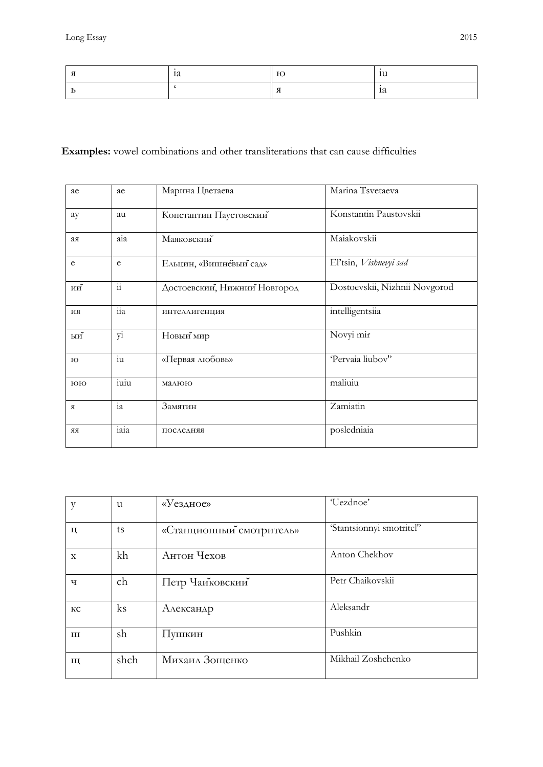| $\mu$ | - - | τu |
|-------|-----|----|
|       |     | īα |

## **Examples:** vowel combinations and other transliterations that can cause difficulties

| ae             | ae             | Марина Цветаева              | Marina Tsvetaeva              |
|----------------|----------------|------------------------------|-------------------------------|
| ay             | au             | Константин Паустовский       | Konstantin Paustovskii        |
| ая             | a1a            | Маяковский                   | Maiakovskii                   |
| e              | e              | Ельцин, «Вишневый сад»       | El'tsin, Vishnevyi sad        |
| ии $\check{~}$ | $\ddot{\rm n}$ | Достоевский, Нижний Новгород | Dostoevskii, Nizhnii Novgorod |
| ИИ             | $\overline{a}$ | ИНТЕЛЛИГЕНЦИЯ                | intelligentsiia               |
| ыи $\check{ }$ | y1             | Новый мир                    | Novyi mir                     |
| $_{\rm HO}$    | $\overline{u}$ | «Первая любовь»              | 'Pervaia liubov"              |
| ЮЮ             | $i$ uiu        | малюю                        | maliuiu                       |
| Я              | ia             | Замятин                      | Zamiatin                      |
| <b>RR</b>      | iaia           | ПОСЛЕДНЯЯ                    | posledniaia                   |

| у           | u        | «Уездное»                | 'Uezdnoe'                |
|-------------|----------|--------------------------|--------------------------|
| Ц           | ts       | «Станционный смотритель» | 'Stantsionnyi smotritel" |
| $\mathbf X$ | kh       | Антон Чехов              | Anton Chekhov            |
| ч           | ch       | Петр Чаиковский          | Petr Chaikovskii         |
| КC          | $\rm ks$ | Александр                | Aleksandr                |
| Ш           | sh       | Пушкин                   | Pushkin                  |
| Щ           | shch     | Михаил Зощенко           | Mikhail Zoshchenko       |